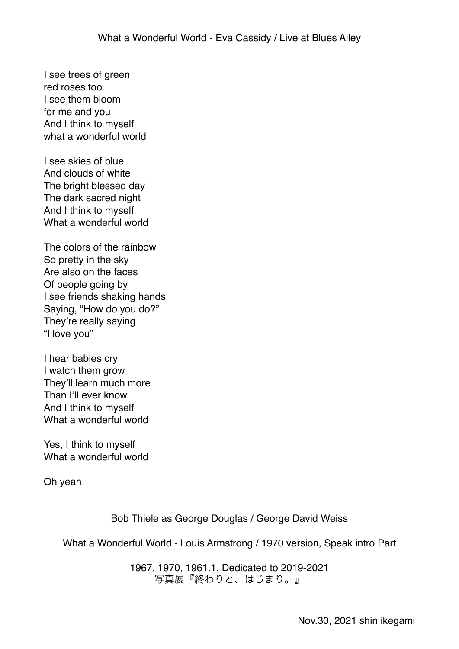I see trees of green red roses too I see them bloom for me and you And I think to myself what a wonderful world

I see skies of blue And clouds of white The bright blessed day The dark sacred night And I think to myself What a wonderful world

The colors of the rainbow So pretty in the sky Are also on the faces Of people going by I see friends shaking hands Saying, "How do you do?" They're really saying "I love you"

I hear babies cry I watch them grow They'll learn much more Than I'll ever know And I think to myself What a wonderful world

Yes, I think to myself What a wonderful world

Oh yeah

Bob Thiele as George Douglas / George David Weiss

What a Wonderful World - Louis Armstrong / 1970 version, Speak intro Part

1967, 1970, 1961.1, Dedicated to 2019-2021 写真展『終わりと、はじまり。』